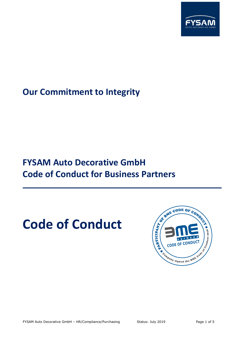

## **Our Commitment to Integrity**

## **FYSAM Auto Decorative GmbH Code of Conduct for Business Partners**

# **Code of Conduct**

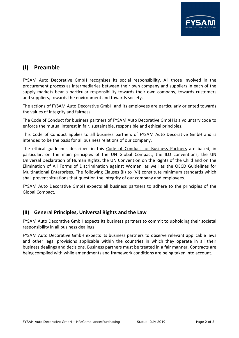

### **(I) Preamble**

FYSAM Auto Decorative GmbH recognises its social responsibility. All those involved in the procurement process as intermediaries between their own company and suppliers in each of the supply markets bear a particular responsibility towards their own company, towards customers and suppliers, towards the environment and towards society.

The actions of FYSAM Auto Decorative GmbH and its employees are particularly oriented towards the values of integrity and fairness.

The Code of Conduct for business partners of FYSAM Auto Decorative GmbH is a voluntary code to enforce the mutual interest in fair, sustainable, responsible and ethical principles.

This Code of Conduct applies to all business partners of FYSAM Auto Decorative GmbH and is intended to be the basis for all business relations of our company.

The ethical guidelines described in this Code of Conduct for Business Partners are based, in particular, on the main principles of the UN Global Compact, the ILO conventions, the UN Universal Declaration of Human Rights, the UN Convention on the Rights of the Child and on the Elimination of All Forms of Discrimination against Women, as well as the OECD Guidelines for Multinational Enterprises. The following Clauses (II) to (VI) constitute minimum standards which shall prevent situations that question the integrity of our company and employees.

FYSAM Auto Decorative GmbH expects all business partners to adhere to the principles of the Global Compact.

#### **(II) General Principles, Universal Rights and the Law**

FYSAM Auto Decorative GmbH expects its business partners to commit to upholding their societal responsibility in all business dealings.

FYSAM Auto Decorative GmbH expects its business partners to observe relevant applicable laws and other legal provisions applicable within the countries in which they operate in all their business dealings and decisions. Business partners must be treated in a fair manner. Contracts are being complied with while amendments and framework conditions are being taken into account.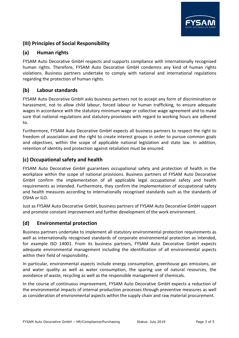

#### **(III) Principles of Social Responsibility**

#### **(a) Human rights**

FYSAM Auto Decorative GmbH respects and supports compliance with internationally recognised human rights. Therefore, FYSAM Auto Decorative GmbH condemns any kind of human rights violations. Business partners undertake to comply with national and international regulations regarding the protection of human rights.

#### **(b) Labour standards**

FYSAM Auto Decorative GmbH asks business partners not to accept any form of discrimination or harassment, not to allow child labour, forced labour or human trafficking, to ensure adequate wages in accordance with the statutory minimum wage or collective wage agreement and to make sure that national regulations and statutory provisions with regard to working hours are adhered to.

Furthermore, FYSAM Auto Decorative GmbH expects all business partners to respect the right to freedom of association and the right to create interest groups in order to pursue common goals and objectives, within the scope of applicable national legislation and state law. In addition, retention of identity and protection against retaliation must be ensured.

#### **(c) Occupational safety and health**

FYSAM Auto Decorative GmbH guarantees occupational safety and protection of health in the workplace within the scope of national provisions. Business partners of FYSAM Auto Decorative GmbH confirm the implementation of all applicable legal occupational safety and health requirements as intended. Furthermore, they confirm the implementation of occupational safety and health measures according to internationally recognised standards such as the standards of OSHA or ILO.

Just as FYSAM Auto Decorative GmbH, business partners of FYSAM Auto Decorative GmbH support and promote constant improvement and further development of the work environment.

#### **(d) Environmental protection**

Business partners undertake to implement all statutory environmental protection requirements as well as internationally recognised standards of corporate environmental protection as intended, for example ISO 14001. From its business partners, FYSAM Auto Decorative GmbH expects adequate environmental management including the identification of all environmental aspects within their field of responsibility.

In particular, environmental aspects include energy consumption, greenhouse gas emissions, air and water quality as well as water consumption, the sparing use of natural resources, the avoidance of waste, recycling as well as the responsible management of chemicals.

In the course of continuous improvement, FYSAM Auto Decorative GmbH expects a reduction of the environmental impacts of internal production processes through preventive measures as well as consideration of environmental aspects within the supply chain and raw material procurement.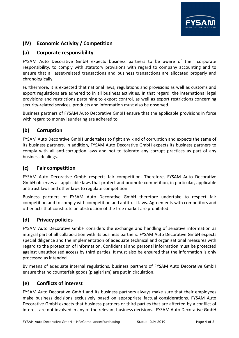

#### **(IV) Economic Activity / Competition**

#### **(a) Corporate responsibility**

FYSAM Auto Decorative GmbH expects business partners to be aware of their corporate responsibility, to comply with statutory provisions with regard to company accounting and to ensure that all asset-related transactions and business transactions are allocated properly and chronologically.

Furthermore, it is expected that national laws, regulations and provisions as well as customs and export regulations are adhered to in all business activities. In that regard, the international legal provisions and restrictions pertaining to export control, as well as export restrictions concerning security-related services, products and information must also be observed.

Business partners of FYSAM Auto Decorative GmbH ensure that the applicable provisions in force with regard to money laundering are adhered to.

#### **(b) Corruption**

FYSAM Auto Decorative GmbH undertakes to fight any kind of corruption and expects the same of its business partners. In addition, FYSAM Auto Decorative GmbH expects its business partners to comply with all anti-corruption laws and not to tolerate any corrupt practices as part of any business dealings.

#### **(c) Fair competition**

FYSAM Auto Decorative GmbH respects fair competition. Therefore, FYSAM Auto Decorative GmbH observes all applicable laws that protect and promote competition, in particular, applicable antitrust laws and other laws to regulate competition.

Business partners of FYSAM Auto Decorative GmbH therefore undertake to respect fair competition and to comply with competition and antitrust laws. Agreements with competitors and other acts that constitute an obstruction of the free market are prohibited.

#### **(d) Privacy policies**

FYSAM Auto Decorative GmbH considers the exchange and handling of sensitive information as integral part of all collaboration with its business partners. FYSAM Auto Decorative GmbH expects special diligence and the implementation of adequate technical and organisational measures with regard to the protection of information. Confidential and personal information must be protected against unauthorised access by third parties. It must also be ensured that the information is only processed as intended.

By means of adequate internal regulations, business partners of FYSAM Auto Decorative GmbH ensure that no counterfeit goods (plagiarism) are put in circulation.

#### **(e) Conflicts of interest**

FYSAM Auto Decorative GmbH and its business partners always make sure that their employees make business decisions exclusively based on appropriate factual considerations. FYSAM Auto Decorative GmbH expects that business partners or third parties that are affected by a conflict of interest are not involved in any of the relevant business decisions. FYSAM Auto Decorative GmbH